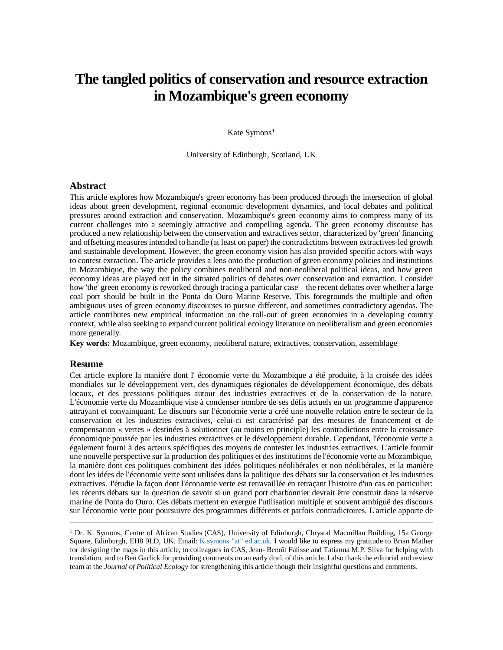# **The tangled politics of conservation and resource extraction in Mozambique's green economy**

Kate Symons<sup>[1](#page-0-0)</sup>

University of Edinburgh, Scotland, UK

#### **Abstract**

This article explores how Mozambique's green economy has been produced through the intersection of global ideas about green development, regional economic development dynamics, and local debates and political pressures around extraction and conservation. Mozambique's green economy aims to compress many of its current challenges into a seemingly attractive and compelling agenda. The green economy discourse has produced a new relationship between the conservation and extractives sector, characterized by 'green' financing and offsetting measures intended to handle (at least on paper) the contradictions between extractives-led growth and sustainable development. However, the green economy vision has also provided specific actors with ways to contest extraction. The article provides a lens onto the production of green economy policies and institutions in Mozambique, the way the policy combines neoliberal and non-neoliberal political ideas, and how green economy ideas are played out in the situated politics of debates over conservation and extraction. I consider how 'the' green economy is reworked through tracing a particular case – the recent debates over whether a large coal port should be built in the Ponta do Ouro Marine Reserve. This foregrounds the multiple and often ambiguous uses of green economy discourses to pursue different, and sometimes contradictory agendas. The article contributes new empirical information on the roll-out of green economies in a developing country context, while also seeking to expand current political ecology literature on neoliberalism and green economies more generally.

**Key words:** Mozambique, green economy, neoliberal nature, extractives, conservation, assemblage

#### **Resume**

Cet article explore la manière dont l' économie verte du Mozambique a été produite, à la croisée des idées mondiales sur le développement vert, des dynamiques régionales de développement économique, des débats locaux, et des pressions politiques autour des industries extractives et de la conservation de la nature. L'économie verte du Mozambique vise à condenser nombre de ses défis actuels en un programme d'apparence attrayant et convainquant. Le discours sur l'économie verte a créé une nouvelle relation entre le secteur de la conservation et les industries extractives, celui-ci est caractérisé par des mesures de financement et de compensation « vertes » destinées à solutionner (au moins en principle) les contradictions entre la croissance économique poussée par les industries extractives et le développement durable. Cependant, l'économie verte a également fourni à des acteurs spécifiques des moyens de contester les industries extractives. L'article fournit une nouvelle perspective sur la production des politiques et des institutions de l'économie verte au Mozambique, la manière dont ces politiques combinent des idées politiques néolibérales et non néolibérales, et la manière dont les idées de l'économie verte sont utilisées dans la politique des débats sur la conservation et les industries extractives. J'étudie la façon dont l'économie verte est retravaillée en retraçant l'histoire d'un cas en particulier: les récents débats sur la question de savoir si un grand port charbonnier devrait être construit dans la réserve marine de Ponta do Ouro. Ces débats mettent en exergue l'utilisation multiple et souvent ambiguë des discours sur l'économie verte pour poursuivre des programmes différents et parfois contradictoires. L'article apporte de

<span id="page-0-0"></span><sup>&</sup>lt;sup>1</sup> Dr. K. Symons, Centre of African Studies (CAS), University of Edinburgh, Chrystal Macmillan Building, 15a George Square, Edinburgh, EH8 9LD, UK. Email: K.symons "at" ed.ac.uk. I would like to express my gratitude to Brian Mather for designing the maps in this article, to colleagues in CAS, Jean- Benoît Falisse and Tatianna M.P. Silva for helping with translation, and to Ben Garlick for providing comments on an early draft of this article. I also thank the editorial and review team at the *Journal of Political Ecology* for strengthening this article though their insightful questions and comments.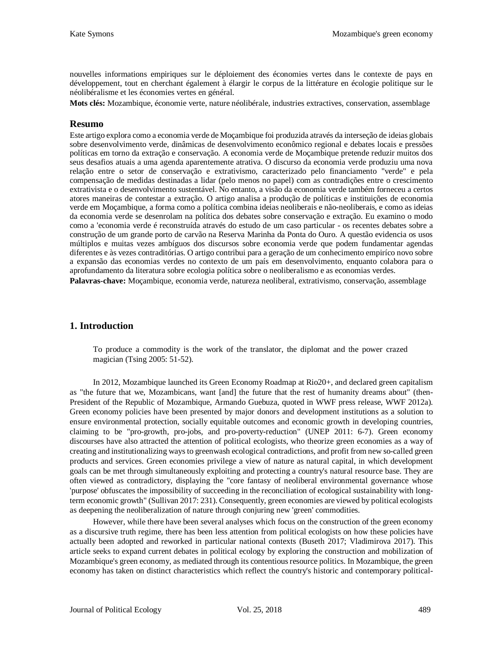nouvelles informations empiriques sur le déploiement des économies vertes dans le contexte de pays en développement, tout en cherchant également à élargir le corpus de la littérature en écologie politique sur le néolibéralisme et les économies vertes en général.

**Mots clés:** Mozambique, économie verte, nature néolibérale, industries extractives, conservation, assemblage

#### **Resumo**

Este artigo explora como a economia verde de Moçambique foi produzida através da interseção de ideias globais sobre desenvolvimento verde, dinâmicas de desenvolvimento econômico regional e debates locais e pressões políticas em torno da extração e conservação. A economia verde de Moçambique pretende reduzir muitos dos seus desafios atuais a uma agenda aparentemente atrativa. O discurso da economia verde produziu uma nova relação entre o setor de conservação e extrativismo, caracterizado pelo financiamento "verde" e pela compensação de medidas destinadas a lidar (pelo menos no papel) com as contradições entre o crescimento extrativista e o desenvolvimento sustentável. No entanto, a visão da economia verde também forneceu a certos atores maneiras de contestar a extração. O artigo analisa a produção de políticas e instituições de economia verde em Moçambique, a forma como a política combina ideias neoliberais e não-neoliberais, e como as ideias da economia verde se desenrolam na política dos debates sobre conservação e extração. Eu examino o modo como a 'economia verde é reconstruída através do estudo de um caso particular - os recentes debates sobre a construção de um grande porto de carvão na Reserva Marinha da Ponta do Ouro. A questão evidencia os usos múltiplos e muitas vezes ambíguos dos discursos sobre economia verde que podem fundamentar agendas diferentes e às vezes contraditórias. O artigo contribui para a geração de um conhecimento empiríco novo sobre a expansão das economias verdes no contexto de um país em desenvolvimento, enquanto colabora para o aprofundamento da literatura sobre ecologia política sobre o neoliberalismo e as economias verdes.

**Palavras-chave:** Moçambique, economia verde, natureza neoliberal, extrativismo, conservação, assemblage

## **1. Introduction**

To produce a commodity is the work of the translator, the diplomat and the power crazed magician (Tsing 2005: 51-52).

In 2012, Mozambique launched its Green Economy Roadmap at Rio20+, and declared green capitalism as "the future that we, Mozambicans, want [and] the future that the rest of humanity dreams about" (then-President of the Republic of Mozambique, Armando Guebuza, quoted in WWF press release, WWF 2012a). Green economy policies have been presented by major donors and development institutions as a solution to ensure environmental protection, socially equitable outcomes and economic growth in developing countries, claiming to be "pro-growth, pro-jobs, and pro-poverty-reduction" (UNEP 2011: 6-7). Green economy discourses have also attracted the attention of political ecologists, who theorize green economies as a way of creating and institutionalizing ways to greenwash ecological contradictions, and profit from new so-called green products and services. Green economies privilege a view of nature as natural capital, in which development goals can be met through simultaneously exploiting and protecting a country's natural resource base. They are often viewed as contradictory, displaying the "core fantasy of neoliberal environmental governance whose 'purpose' obfuscates the impossibility of succeeding in the reconciliation of ecological sustainability with longterm economic growth" (Sullivan 2017: 231). Consequently, green economies are viewed by political ecologists as deepening the neoliberalization of nature through conjuring new 'green' commodities.

However, while there have been several analyses which focus on the construction of the green economy as a discursive truth regime, there has been less attention from political ecologists on how these policies have actually been adopted and reworked in particular national contexts (Buseth 2017; Vladimirova 2017). This article seeks to expand current debates in political ecology by exploring the construction and mobilization of Mozambique's green economy, as mediated through its contentious resource politics. In Mozambique, the green economy has taken on distinct characteristics which reflect the country's historic and contemporary political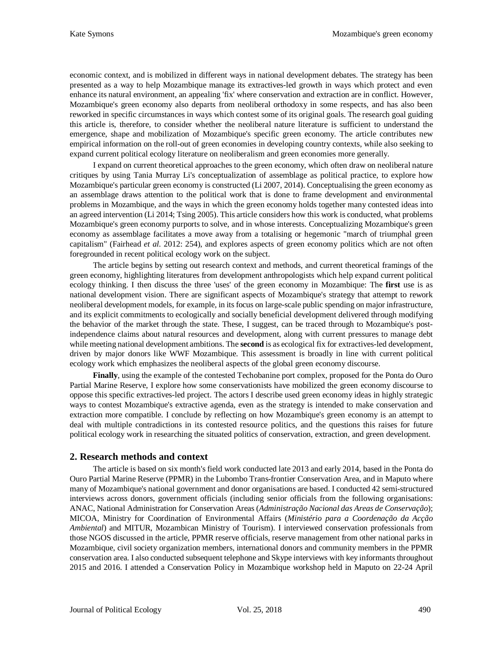economic context, and is mobilized in different ways in national development debates. The strategy has been presented as a way to help Mozambique manage its extractives-led growth in ways which protect and even enhance its natural environment, an appealing 'fix' where conservation and extraction are in conflict. However, Mozambique's green economy also departs from neoliberal orthodoxy in some respects, and has also been reworked in specific circumstances in ways which contest some of its original goals. The research goal guiding this article is, therefore, to consider whether the neoliberal nature literature is sufficient to understand the emergence, shape and mobilization of Mozambique's specific green economy. The article contributes new empirical information on the roll-out of green economies in developing country contexts, while also seeking to expand current political ecology literature on neoliberalism and green economies more generally.

I expand on current theoretical approaches to the green economy, which often draw on neoliberal nature critiques by using Tania Murray Li's conceptualization of assemblage as political practice, to explore how Mozambique's particular green economy is constructed (Li 2007, 2014). Conceptualising the green economy as an assemblage draws attention to the political work that is done to frame development and environmental problems in Mozambique, and the ways in which the green economy holds together many contested ideas into an agreed intervention (Li 2014; Tsing 2005). This article considers how this work is conducted, what problems Mozambique's green economy purports to solve, and in whose interests. Conceptualizing Mozambique's green economy as assemblage facilitates a move away from a totalising or hegemonic "march of triumphal green capitalism" (Fairhead *et al.* 2012: 254), and explores aspects of green economy politics which are not often foregrounded in recent political ecology work on the subject.

The article begins by setting out research context and methods, and current theoretical framings of the green economy, highlighting literatures from development anthropologists which help expand current political ecology thinking. I then discuss the three 'uses' of the green economy in Mozambique: The **first** use is as national development vision. There are significant aspects of Mozambique's strategy that attempt to rework neoliberal development models, for example, in its focus on large-scale public spending on major infrastructure, and its explicit commitments to ecologically and socially beneficial development delivered through modifying the behavior of the market through the state. These, I suggest, can be traced through to Mozambique's postindependence claims about natural resources and development, along with current pressures to manage debt while meeting national development ambitions. The **second** is as ecological fix for extractives-led development, driven by major donors like WWF Mozambique. This assessment is broadly in line with current political ecology work which emphasizes the neoliberal aspects of the global green economy discourse.

**Finally**, using the example of the contested Techobanine port complex, proposed for the Ponta do Ouro Partial Marine Reserve, I explore how some conservationists have mobilized the green economy discourse to oppose this specific extractives-led project. The actors I describe used green economy ideas in highly strategic ways to contest Mozambique's extractive agenda, even as the strategy is intended to make conservation and extraction more compatible. I conclude by reflecting on how Mozambique's green economy is an attempt to deal with multiple contradictions in its contested resource politics, and the questions this raises for future political ecology work in researching the situated politics of conservation, extraction, and green development.

# **2. Research methods and context**

The article is based on six month's field work conducted late 2013 and early 2014, based in the Ponta do Ouro Partial Marine Reserve (PPMR) in the Lubombo Trans-frontier Conservation Area, and in Maputo where many of Mozambique's national government and donor organisations are based. I conducted 42 semi-structured interviews across donors, government officials (including senior officials from the following organisations: ANAC, National Administration for Conservation Areas (*Administração Nacional das Areas de Conservação*); MICOA, Ministry for Coordination of Environmental Affairs (*Ministério para a Coordenação da Acção Ambiental*) and MITUR, Mozambican Ministry of Tourism). I interviewed conservation professionals from those NGOS discussed in the article, PPMR reserve officials, reserve management from other national parks in Mozambique, civil society organization members, international donors and community members in the PPMR conservation area. I also conducted subsequent telephone and Skype interviews with key informants throughout 2015 and 2016. I attended a Conservation Policy in Mozambique workshop held in Maputo on 22-24 April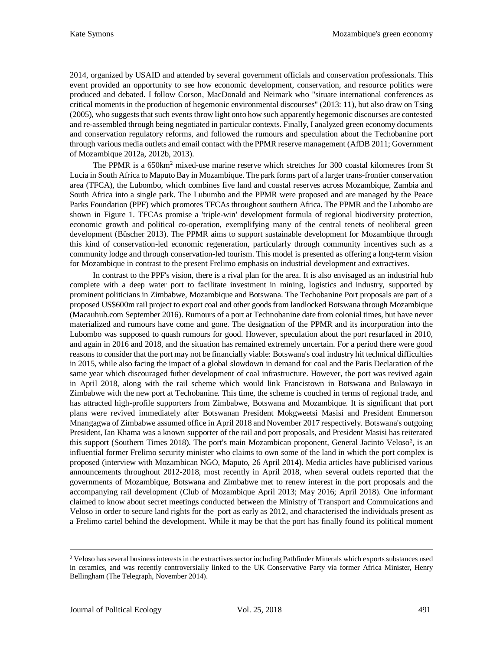2014, organized by USAID and attended by several government officials and conservation professionals. This event provided an opportunity to see how economic development, conservation, and resource politics were produced and debated. I follow Corson, MacDonald and Neimark who "situate international conferences as critical moments in the production of hegemonic environmental discourses" (2013: 11), but also draw on Tsing (2005), who suggests that such events throw light onto how such apparently hegemonic discourses are contested and re-assembled through being negotiated in particular contexts. Finally, I analyzed green economy documents and conservation regulatory reforms, and followed the rumours and speculation about the Techobanine port through various media outlets and email contact with the PPMR reserve management (AfDB 2011; Government of Mozambique 2012a, 2012b, 2013).

The PPMR is a 650km<sup>2</sup> mixed-use marine reserve which stretches for 300 coastal kilometres from St Lucia in South Africa to Maputo Bay in Mozambique. The park forms part of a larger trans-frontier conservation area (TFCA), the Lubombo, which combines five land and coastal reserves across Mozambique, Zambia and South Africa into a single park. The Lubumbo and the PPMR were proposed and are managed by the Peace Parks Foundation (PPF) which promotes TFCAs throughout southern Africa. The PPMR and the Lubombo are shown in Figure 1. TFCAs promise a 'triple-win' development formula of regional biodiversity protection, economic growth and political co-operation, exemplifying many of the central tenets of neoliberal green development (Büscher 2013). The PPMR aims to support sustainable development for Mozambique through this kind of conservation-led economic regeneration, particularly through community incentives such as a community lodge and through conservation-led tourism. This model is presented as offering a long-term vision for Mozambique in contrast to the present Frelimo emphasis on industrial development and extractives.

In contrast to the PPF's vision, there is a rival plan for the area. It is also envisaged as an industrial hub complete with a deep water port to facilitate investment in mining, logistics and industry, supported by prominent politicians in Zimbabwe, Mozambique and Botswana. The Techobanine Port proposals are part of a proposed US\$600m rail project to export coal and other goods from landlocked Botswana through Mozambique (Macauhub.com September 2016). Rumours of a port at Technobanine date from colonial times, but have never materialized and rumours have come and gone. The designation of the PPMR and its incorporation into the Lubombo was supposed to quash rumours for good. However, speculation about the port resurfaced in 2010, and again in 2016 and 2018, and the situation has remained extremely uncertain. For a period there were good reasons to consider that the port may not be financially viable: Botswana's coal industry hit technical difficulties in 2015, while also facing the impact of a global slowdown in demand for coal and the Paris Declaration of the same year which discouraged futher development of coal infrastructure. However, the port was revived again in April 2018, along with the rail scheme which would link Francistown in Botswana and Bulawayo in Zimbabwe with the new port at Techobanine. This time, the scheme is couched in terms of regional trade, and has attracted high-profile supporters from Zimbabwe, Botswana and Mozambique. It is significant that port plans were revived immediately after Botswanan President Mokgweetsi Masisi and President Emmerson Mnangagwa of Zimbabwe assumed office in April 2018 and November 2017 respectively. Botswana's outgoing President, Ian Khama was a known supporter of the rail and port proposals, and President Masisi has reiterated this support (Southern Times [2](#page-3-0)018). The port's main Mozambican proponent, General Jacinto Veloso<sup>2</sup>, is an influential former Frelimo security minister who claims to own some of the land in which the port complex is proposed (interview with Mozambican NGO, Maputo, 26 April 2014). Media articles have publicised various announcements throughout 2012-2018, most recently in April 2018, when several outlets reported that the governments of Mozambique, Botswana and Zimbabwe met to renew interest in the port proposals and the accompanying rail development (Club of Mozambique April 2013; May 2016; April 2018). One informant claimed to know about secret meetings conducted between the Ministry of Transport and Commuications and Veloso in order to secure land rights for the port as early as 2012, and characterised the individuals present as a Frelimo cartel behind the development. While it may be that the port has finally found its political moment

<span id="page-3-0"></span><sup>&</sup>lt;sup>2</sup> Veloso has several business interests in the extractives sector including Pathfinder Minerals which exports substances used in ceramics, and was recently controversially linked to the UK Conservative Party via former Africa Minister, Henry Bellingham (The Telegraph, November 2014).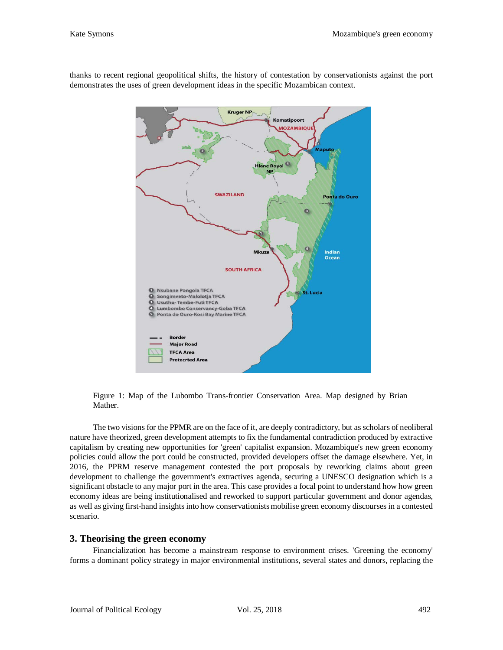

thanks to recent regional geopolitical shifts, the history of contestation by conservationists against the port demonstrates the uses of green development ideas in the specific Mozambican context.

Figure 1: Map of the Lubombo Trans-frontier Conservation Area. Map designed by Brian Mather.

The two visions for the PPMR are on the face of it, are deeply contradictory, but as scholars of neoliberal nature have theorized, green development attempts to fix the fundamental contradiction produced by extractive capitalism by creating new opportunities for 'green' capitalist expansion. Mozambique's new green economy policies could allow the port could be constructed, provided developers offset the damage elsewhere. Yet, in 2016, the PPRM reserve management contested the port proposals by reworking claims about green development to challenge the government's extractives agenda, securing a UNESCO designation which is a significant obstacle to any major port in the area. This case provides a focal point to understand how how green economy ideas are being institutionalised and reworked to support particular government and donor agendas, as well as giving first-hand insights into how conservationists mobilise green economy discourses in a contested scenario.

# **3. Theorising the green economy**

Financialization has become a mainstream response to environment crises. 'Greening the economy' forms a dominant policy strategy in major environmental institutions, several states and donors, replacing the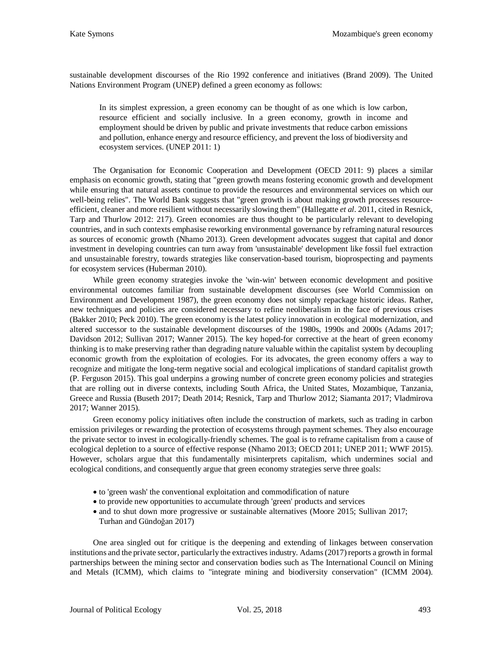sustainable development discourses of the Rio 1992 conference and initiatives (Brand 2009). The United Nations Environment Program (UNEP) defined a green economy as follows:

In its simplest expression, a green economy can be thought of as one which is low carbon, resource efficient and socially inclusive. In a green economy, growth in income and employment should be driven by public and private investments that reduce carbon emissions and pollution, enhance energy and resource efficiency, and prevent the loss of biodiversity and ecosystem services. (UNEP 2011: 1)

The Organisation for Economic Cooperation and Development (OECD 2011: 9) places a similar emphasis on economic growth, stating that "green growth means fostering economic growth and development while ensuring that natural assets continue to provide the resources and environmental services on which our well-being relies". The World Bank suggests that "green growth is about making growth processes resourceefficient, cleaner and more resilient without necessarily slowing them" (Hallegatte *et al*. 2011, cited in Resnick, Tarp and Thurlow 2012: 217). Green economies are thus thought to be particularly relevant to developing countries, and in such contexts emphasise reworking environmental governance by reframing natural resources as sources of economic growth (Nhamo 2013). Green development advocates suggest that capital and donor investment in developing countries can turn away from 'unsustainable' development like fossil fuel extraction and unsustainable forestry, towards strategies like conservation-based tourism, bioprospecting and payments for ecosystem services (Huberman 2010).

While green economy strategies invoke the 'win-win' between economic development and positive environmental outcomes familiar from sustainable development discourses (see World Commission on Environment and Development 1987), the green economy does not simply repackage historic ideas. Rather, new techniques and policies are considered necessary to refine neoliberalism in the face of previous crises (Bakker 2010; Peck 2010). The green economy is the latest policy innovation in ecological modernization, and altered successor to the sustainable development discourses of the 1980s, 1990s and 2000s (Adams 2017; Davidson 2012; Sullivan 2017; Wanner 2015). The key hoped-for corrective at the heart of green economy thinking is to make preserving rather than degrading nature valuable within the capitalist system by decoupling economic growth from the exploitation of ecologies. For its advocates, the green economy offers a way to recognize and mitigate the long-term negative social and ecological implications of standard capitalist growth (P. Ferguson 2015). This goal underpins a growing number of concrete green economy policies and strategies that are rolling out in diverse contexts, including South Africa, the United States, Mozambique, Tanzania, Greece and Russia (Buseth 2017; Death 2014; Resnick, Tarp and Thurlow 2012; Siamanta 2017; Vladmirova 2017; Wanner 2015).

Green economy policy initiatives often include the construction of markets, such as trading in carbon emission privileges or rewarding the protection of ecosystems through payment schemes. They also encourage the private sector to invest in ecologically-friendly schemes. The goal is to reframe capitalism from a cause of ecological depletion to a source of effective response (Nhamo 2013; OECD 2011; UNEP 2011; WWF 2015). However, scholars argue that this fundamentally misinterprets capitalism, which undermines social and ecological conditions, and consequently argue that green economy strategies serve three goals:

- to 'green wash' the conventional exploitation and commodification of nature
- to provide new opportunities to accumulate through 'green' products and services
- and to shut down more progressive or sustainable alternatives (Moore 2015; Sullivan 2017; Turhan and Gündoğan 2017)

One area singled out for critique is the deepening and extending of linkages between conservation institutions and the private sector, particularly the extractives industry. Adams (2017) reports a growth in formal partnerships between the mining sector and conservation bodies such as The International Council on Mining and Metals (ICMM), which claims to "integrate mining and biodiversity conservation" (ICMM 2004).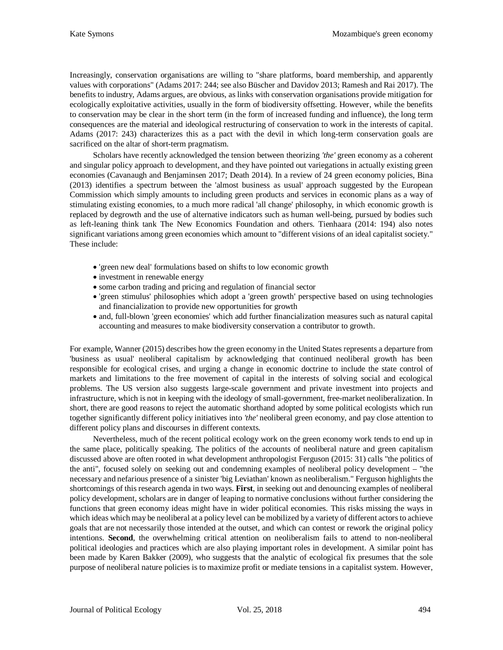Increasingly, conservation organisations are willing to "share platforms, board membership, and apparently values with corporations" (Adams 2017: 244; see also Büscher and Davidov 2013; Ramesh and Rai 2017). The benefits to industry, Adams argues, are obvious, as links with conservation organisations provide mitigation for ecologically exploitative activities, usually in the form of biodiversity offsetting. However, while the benefits to conservation may be clear in the short term (in the form of increased funding and influence), the long term consequences are the material and ideological restructuring of conservation to work in the interests of capital. Adams (2017: 243) characterizes this as a pact with the devil in which long-term conservation goals are sacrificed on the altar of short-term pragmatism.

Scholars have recently acknowledged the tension between theorizing *'the'* green economy as a coherent and singular policy approach to development, and they have pointed out variegations in actually existing green economies (Cavanaugh and Benjaminsen 2017; Death 2014). In a review of 24 green economy policies, Bina (2013) identifies a spectrum between the 'almost business as usual' approach suggested by the European Commission which simply amounts to including green products and services in economic plans as a way of stimulating existing economies, to a much more radical 'all change' philosophy, in which economic growth is replaced by degrowth and the use of alternative indicators such as human well-being, pursued by bodies such as left-leaning think tank The New Economics Foundation and others. Tienhaara (2014: 194) also notes significant variations among green economies which amount to "different visions of an ideal capitalist society." These include:

- 'green new deal' formulations based on shifts to low economic growth
- investment in renewable energy
- some carbon trading and pricing and regulation of financial sector
- 'green stimulus' philosophies which adopt a 'green growth' perspective based on using technologies and financialization to provide new opportunities for growth
- and, full-blown 'green economies' which add further financialization measures such as natural capital accounting and measures to make biodiversity conservation a contributor to growth.

For example, Wanner (2015) describes how the green economy in the United States represents a departure from 'business as usual' neoliberal capitalism by acknowledging that continued neoliberal growth has been responsible for ecological crises, and urging a change in economic doctrine to include the state control of markets and limitations to the free movement of capital in the interests of solving social and ecological problems. The US version also suggests large-scale government and private investment into projects and infrastructure, which is not in keeping with the ideology of small-government, free-market neoliberalization. In short, there are good reasons to reject the automatic shorthand adopted by some political ecologists which run together significantly different policy initiatives into *'the'* neoliberal green economy, and pay close attention to different policy plans and discourses in different contexts.

Nevertheless, much of the recent political ecology work on the green economy work tends to end up in the same place, politically speaking. The politics of the accounts of neoliberal nature and green capitalism discussed above are often rooted in what development anthropologist Ferguson (2015: 31) calls "the politics of the anti", focused solely on seeking out and condemning examples of neoliberal policy development – "the necessary and nefarious presence of a sinister 'big Leviathan' known as neoliberalism." Ferguson highlights the shortcomings of this research agenda in two ways. **First**, in seeking out and denouncing examples of neoliberal policy development, scholars are in danger of leaping to normative conclusions without further considering the functions that green economy ideas might have in wider political economies. This risks missing the ways in which ideas which may be neoliberal at a policy level can be mobilized by a variety of different actors to achieve goals that are not necessarily those intended at the outset, and which can contest or rework the original policy intentions. **Second**, the overwhelming critical attention on neoliberalism fails to attend to non-neoliberal political ideologies and practices which are also playing important roles in development. A similar point has been made by Karen Bakker (2009), who suggests that the analytic of ecological fix presumes that the sole purpose of neoliberal nature policies is to maximize profit or mediate tensions in a capitalist system. However,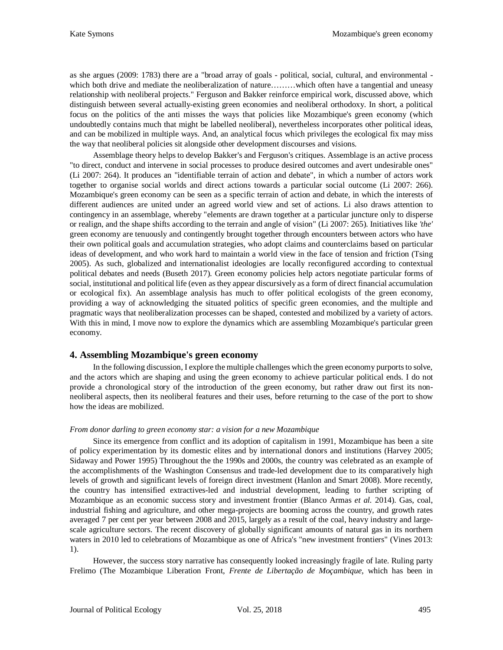as she argues (2009: 1783) there are a "broad array of goals - political, social, cultural, and environmental which both drive and mediate the neoliberalization of nature………which often have a tangential and uneasy relationship with neoliberal projects." Ferguson and Bakker reinforce empirical work, discussed above, which distinguish between several actually-existing green economies and neoliberal orthodoxy. In short, a political focus on the politics of the anti misses the ways that policies like Mozambique's green economy (which undoubtedly contains much that might be labelled neoliberal), nevertheless incorporates other political ideas, and can be mobilized in multiple ways. And, an analytical focus which privileges the ecological fix may miss the way that neoliberal policies sit alongside other development discourses and visions.

Assemblage theory helps to develop Bakker's and Ferguson's critiques. Assemblage is an active process "to direct, conduct and intervene in social processes to produce desired outcomes and avert undesirable ones" (Li 2007: 264). It produces an "identifiable terrain of action and debate", in which a number of actors work together to organise social worlds and direct actions towards a particular social outcome (Li 2007: 266). Mozambique's green economy can be seen as a specific terrain of action and debate, in which the interests of different audiences are united under an agreed world view and set of actions. Li also draws attention to contingency in an assemblage, whereby "elements are drawn together at a particular juncture only to disperse or realign, and the shape shifts according to the terrain and angle of vision" (Li 2007: 265). Initiatives like *'the'* green economy are tenuously and contingently brought together through encounters between actors who have their own political goals and accumulation strategies, who adopt claims and counterclaims based on particular ideas of development, and who work hard to maintain a world view in the face of tension and friction (Tsing 2005). As such, globalized and internationalist ideologies are locally reconfigured according to contextual political debates and needs (Buseth 2017). Green economy policies help actors negotiate particular forms of social, institutional and political life (even as they appear discursively as a form of direct financial accumulation or ecological fix). An assemblage analysis has much to offer political ecologists of the green economy, providing a way of acknowledging the situated politics of specific green economies, and the multiple and pragmatic ways that neoliberalization processes can be shaped, contested and mobilized by a variety of actors. With this in mind, I move now to explore the dynamics which are assembling Mozambique's particular green economy.

# **4. Assembling Mozambique's green economy**

In the following discussion, I explore the multiple challenges which the green economy purports to solve, and the actors which are shaping and using the green economy to achieve particular political ends. I do not provide a chronological story of the introduction of the green economy, but rather draw out first its nonneoliberal aspects, then its neoliberal features and their uses, before returning to the case of the port to show how the ideas are mobilized.

#### *From donor darling to green economy star: a vision for a new Mozambique*

Since its emergence from conflict and its adoption of capitalism in 1991, Mozambique has been a site of policy experimentation by its domestic elites and by international donors and institutions (Harvey 2005; Sidaway and Power 1995) Throughout the the 1990s and 2000s, the country was celebrated as an example of the accomplishments of the Washington Consensus and trade-led development due to its comparatively high levels of growth and significant levels of foreign direct investment (Hanlon and Smart 2008). More recently, the country has intensified extractives-led and industrial development, leading to further scripting of Mozambique as an economic success story and investment frontier (Blanco Armas *et al.* 2014). Gas, coal, industrial fishing and agriculture, and other mega-projects are booming across the country, and growth rates averaged 7 per cent per year between 2008 and 2015, largely as a result of the coal, heavy industry and largescale agriculture sectors. The recent discovery of globally significant amounts of natural gas in its northern waters in 2010 led to celebrations of Mozambique as one of Africa's "new investment frontiers" (Vines 2013: 1).

However, the success story narrative has consequently looked increasingly fragile of late. Ruling party Frelimo (The Mozambique Liberation Front, *Frente de Libertação de Moçambique*, which has been in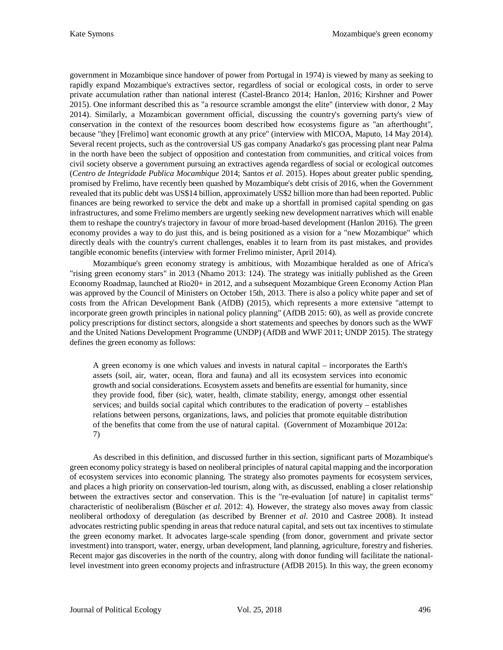government in Mozambique since handover of power from Portugal in 1974) is viewed by many as seeking to rapidly expand Mozambique's extractives sector, regardless of social or ecological costs, in order to serve private accumulation rather than national interest (Castel-Branco 2014; Hanlon, 2016; Kirshner and Power 2015). One informant described this as "a resource scramble amongst the elite" (interview with donor, 2 May 2014). Similarly, a Mozambican government official, discussing the country's governing party's view of conservation in the context of the resources boom described how ecosystems figure as "an afterthought", because "they [Frelimo] want economic growth at any price" (interview with MICOA, Maputo, 14 May 2014). Several recent projects, such as the controversial US gas company Anadarko's gas processing plant near Palma in the north have been the subject of opposition and contestation from communities, and critical voices from civil society observe a government pursuing an extractives agenda regardless of social or ecological outcomes (*Centro de Integridade Publica Mocambique* 2014; Santos *et al*. 2015). Hopes about greater public spending, promised by Frelimo, have recently been quashed by Mozambique's debt crisis of 2016, when the Government revealed that its public debt was US\$14 billion, approximately US\$2 billion more than had been reported. Public finances are being reworked to service the debt and make up a shortfall in promised capital spending on gas infrastructures, and some Frelimo members are urgently seeking new development narratives which will enable them to reshape the country's trajectory in favour of more broad-based development (Hanlon 2016). The green economy provides a way to do just this, and is being positioned as a vision for a "new Mozambique" which directly deals with the country's current challenges, enables it to learn from its past mistakes, and provides tangible economic benefits (interview with former Frelimo minister, April 2014).

Mozambique's green economy strategy is ambitious, with Mozambique heralded as one of Africa's "rising green economy stars" in 2013 (Nhamo 2013: 124). The strategy was initially published as the Green Economy Roadmap, launched at Rio20+ in 2012, and a subsequent Mozambique Green Economy Action Plan was approved by the Council of Ministers on October 15th, 2013. There is also a policy white paper and set of costs from the African Development Bank (AfDB) (2015), which represents a more extensive "attempt to incorporate green growth principles in national policy planning" (AfDB 2015: 60), as well as provide concrete policy prescriptions for distinct sectors, alongside a short statements and speeches by donors such as the WWF and the United Nations Development Programme (UNDP) (AfDB and WWF 2011; UNDP 2015). The strategy defines the green economy as follows:

A green economy is one which values and invests in natural capital – incorporates the Earth's assets (soil, air, water, ocean, flora and fauna) and all its ecosystem services into economic growth and social considerations. Ecosystem assets and benefits are essential for humanity, since they provide food, fiber (sic), water, health, climate stability, energy, amongst other essential services; and builds social capital which contributes to the eradication of poverty – establishes relations between persons, organizations, laws, and policies that promote equitable distribution of the benefits that come from the use of natural capital. (Government of Mozambique 2012a: 7)

As described in this definition, and discussed further in this section, significant parts of Mozambique's green economy policy strategy is based on neoliberal principles of natural capital mapping and the incorporation of ecosystem services into economic planning. The strategy also promotes payments for ecosystem services, and places a high priority on conservation-led tourism, along with, as discussed, enabling a closer relationship between the extractives sector and conservation. This is the "re-evaluation [of nature] in capitalist terms" characteristic of neoliberalism (Büscher *et al.* 2012: 4). However, the strategy also moves away from classic neoliberal orthodoxy of deregulation (as described by Brenner *et al*. 2010 and Castree 2008). It instead advocates restricting public spending in areas that reduce natural capital, and sets out tax incentives to stimulate the green economy market. It advocates large-scale spending (from donor, government and private sector investment) into transport, water, energy, urban development, land planning, agriculture, forestry and fisheries. Recent major gas discoveries in the north of the country, along with donor funding will facilitate the nationallevel investment into green economy projects and infrastructure (AfDB 2015). In this way, the green economy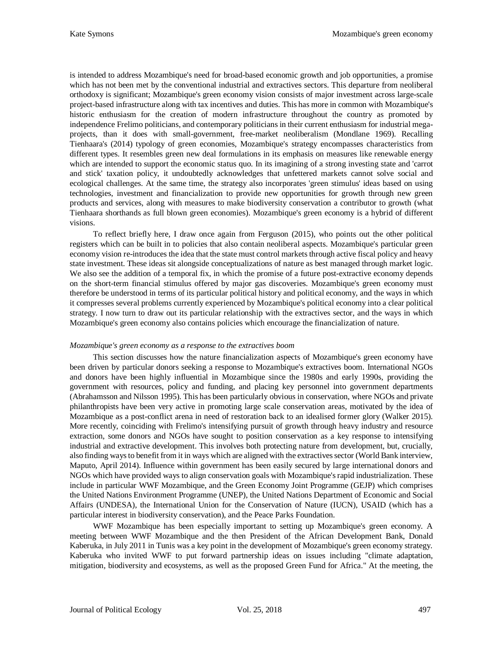is intended to address Mozambique's need for broad-based economic growth and job opportunities, a promise which has not been met by the conventional industrial and extractives sectors. This departure from neoliberal orthodoxy is significant; Mozambique's green economy vision consists of major investment across large-scale project-based infrastructure along with tax incentives and duties. This has more in common with Mozambique's historic enthusiasm for the creation of modern infrastructure throughout the country as promoted by independence Frelimo politicians, and contemporary politicians in their current enthusiasm for industrial megaprojects, than it does with small-government, free-market neoliberalism (Mondlane 1969). Recalling Tienhaara's (2014) typology of green economies, Mozambique's strategy encompasses characteristics from different types. It resembles green new deal formulations in its emphasis on measures like renewable energy which are intended to support the economic status quo. In its imagining of a strong investing state and 'carrot and stick' taxation policy, it undoubtedly acknowledges that unfettered markets cannot solve social and ecological challenges. At the same time, the strategy also incorporates 'green stimulus' ideas based on using technologies, investment and financialization to provide new opportunities for growth through new green products and services, along with measures to make biodiversity conservation a contributor to growth (what Tienhaara shorthands as full blown green economies). Mozambique's green economy is a hybrid of different visions.

To reflect briefly here, I draw once again from Ferguson (2015), who points out the other political registers which can be built in to policies that also contain neoliberal aspects. Mozambique's particular green economy vision re-introduces the idea that the state must control markets through active fiscal policy and heavy state investment. These ideas sit alongside conceptualizations of nature as best managed through market logic. We also see the addition of a temporal fix, in which the promise of a future post-extractive economy depends on the short-term financial stimulus offered by major gas discoveries. Mozambique's green economy must therefore be understood in terms of its particular political history and political economy, and the ways in which it compresses several problems currently experienced by Mozambique's political economy into a clear political strategy. I now turn to draw out its particular relationship with the extractives sector, and the ways in which Mozambique's green economy also contains policies which encourage the financialization of nature.

#### *Mozambique's green economy as a response to the extractives boom*

This section discusses how the nature financialization aspects of Mozambique's green economy have been driven by particular donors seeking a response to Mozambique's extractives boom. International NGOs and donors have been highly influential in Mozambique since the 1980s and early 1990s, providing the government with resources, policy and funding, and placing key personnel into government departments (Abrahamsson and Nilsson 1995). This has been particularly obvious in conservation, where NGOs and private philanthropists have been very active in promoting large scale conservation areas, motivated by the idea of Mozambique as a post-conflict arena in need of restoration back to an idealised former glory (Walker 2015). More recently, coinciding with Frelimo's intensifying pursuit of growth through heavy industry and resource extraction, some donors and NGOs have sought to position conservation as a key response to intensifying industrial and extractive development. This involves both protecting nature from development, but, crucially, also finding ways to benefit from it in ways which are aligned with the extractives sector (World Bank interview, Maputo, April 2014). Influence within government has been easily secured by large international donors and NGOs which have provided ways to align conservation goals with Mozambique's rapid industrialization. These include in particular WWF Mozambique, and the Green Economy Joint Programme (GEJP) which comprises the United Nations Environment Programme (UNEP), the United Nations Department of Economic and Social Affairs (UNDESA), the International Union for the Conservation of Nature (IUCN), USAID (which has a particular interest in biodiversity conservation), and the Peace Parks Foundation.

WWF Mozambique has been especially important to setting up Mozambique's green economy. A meeting between WWF Mozambique and the then President of the African Development Bank, Donald Kaberuka, in July 2011 in Tunis was a key point in the development of Mozambique's green economy strategy. Kaberuka who invited WWF to put forward partnership ideas on issues including "climate adaptation, mitigation, biodiversity and ecosystems, as well as the proposed Green Fund for Africa." At the meeting, the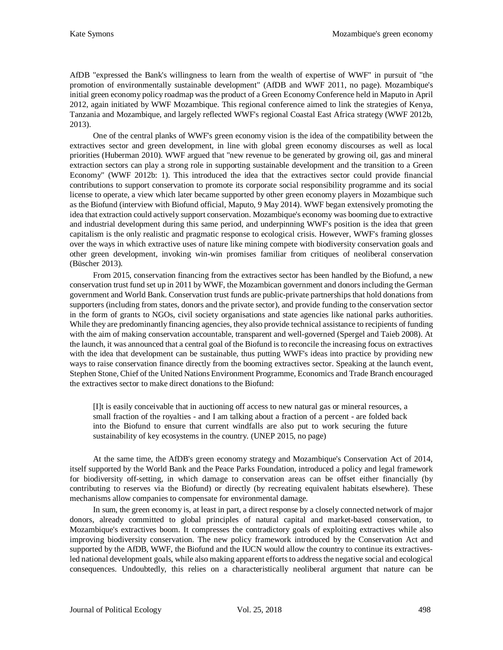AfDB "expressed the Bank's willingness to learn from the wealth of expertise of WWF" in pursuit of "the promotion of environmentally sustainable development" (AfDB and WWF 2011, no page). Mozambique's initial green economy policy roadmap was the product of a Green Economy Conference held in Maputo in April 2012, again initiated by WWF Mozambique. This regional conference aimed to link the strategies of Kenya, Tanzania and Mozambique, and largely reflected WWF's regional Coastal East Africa strategy (WWF 2012b, 2013).

One of the central planks of WWF's green economy vision is the idea of the compatibility between the extractives sector and green development, in line with global green economy discourses as well as local priorities (Huberman 2010). WWF argued that "new revenue to be generated by growing oil, gas and mineral extraction sectors can play a strong role in supporting sustainable development and the transition to a Green Economy" (WWF 2012b: 1). This introduced the idea that the extractives sector could provide financial contributions to support conservation to promote its corporate social responsibility programme and its social license to operate, a view which later became supported by other green economy players in Mozambique such as the Biofund (interview with Biofund official, Maputo, 9 May 2014). WWF began extensively promoting the idea that extraction could actively support conservation. Mozambique's economy was booming due to extractive and industrial development during this same period, and underpinning WWF's position is the idea that green capitalism is the only realistic and pragmatic response to ecological crisis. However, WWF's framing glosses over the ways in which extractive uses of nature like mining compete with biodiversity conservation goals and other green development, invoking win-win promises familiar from critiques of neoliberal conservation (Büscher 2013).

From 2015, conservation financing from the extractives sector has been handled by the Biofund, a new conservation trust fund set up in 2011 by WWF, the Mozambican government and donors including the German government and World Bank. Conservation trust funds are public-private partnerships that hold donations from supporters (including from states, donors and the private sector), and provide funding to the conservation sector in the form of grants to NGOs, civil society organisations and state agencies like national parks authorities. While they are predominantly financing agencies, they also provide technical assistance to recipients of funding with the aim of making conservation accountable, transparent and well-governed (Spergel and Taieb 2008). At the launch, it was announced that a central goal of the Biofund is to reconcile the increasing focus on extractives with the idea that development can be sustainable, thus putting WWF's ideas into practice by providing new ways to raise conservation finance directly from the booming extractives sector. Speaking at the launch event, Stephen Stone, Chief of the United Nations Environment Programme, Economics and Trade Branch encouraged the extractives sector to make direct donations to the Biofund:

[I]t is easily conceivable that in auctioning off access to new natural gas or mineral resources, a small fraction of the royalties - and I am talking about a fraction of a percent - are folded back into the Biofund to ensure that current windfalls are also put to work securing the future sustainability of key ecosystems in the country. (UNEP 2015, no page)

At the same time, the AfDB's green economy strategy and Mozambique's Conservation Act of 2014, itself supported by the World Bank and the Peace Parks Foundation, introduced a policy and legal framework for biodiversity off-setting, in which damage to conservation areas can be offset either financially (by contributing to reserves via the Biofund) or directly (by recreating equivalent habitats elsewhere). These mechanisms allow companies to compensate for environmental damage.

In sum, the green economy is, at least in part, a direct response by a closely connected network of major donors, already committed to global principles of natural capital and market-based conservation, to Mozambique's extractives boom. It compresses the contradictory goals of exploiting extractives while also improving biodiversity conservation. The new policy framework introduced by the Conservation Act and supported by the AfDB, WWF, the Biofund and the IUCN would allow the country to continue its extractivesled national development goals, while also making apparent efforts to address the negative social and ecological consequences. Undoubtedly, this relies on a characteristically neoliberal argument that nature can be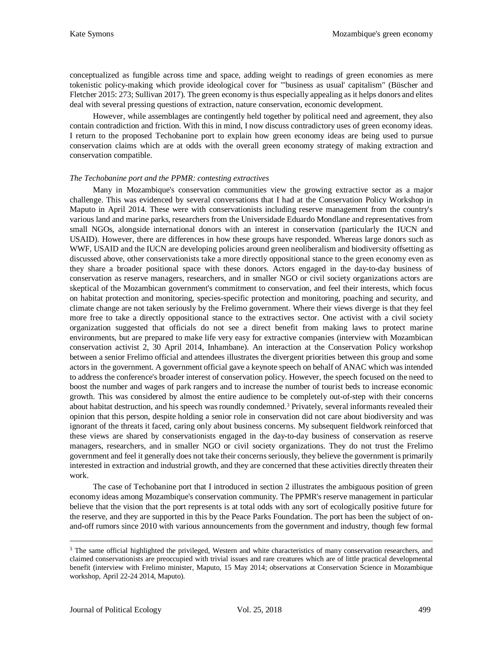conceptualized as fungible across time and space, adding weight to readings of green economies as mere tokenistic policy-making which provide ideological cover for "'business as usual' capitalism" (Büscher and Fletcher 2015: 273; Sullivan 2017). The green economy is thus especially appealing as it helps donors and elites deal with several pressing questions of extraction, nature conservation, economic development.

However, while assemblages are contingently held together by political need and agreement, they also contain contradiction and friction. With this in mind, I now discuss contradictory uses of green economy ideas. I return to the proposed Techobanine port to explain how green economy ideas are being used to pursue conservation claims which are at odds with the overall green economy strategy of making extraction and conservation compatible.

#### *The Techobanine port and the PPMR: contesting extractives*

Many in Mozambique's conservation communities view the growing extractive sector as a major challenge. This was evidenced by several conversations that I had at the Conservation Policy Workshop in Maputo in April 2014. These were with conservationists including reserve management from the country's various land and marine parks, researchers from the Universidade Eduardo Mondlane and representatives from small NGOs, alongside international donors with an interest in conservation (particularly the IUCN and USAID). However, there are differences in how these groups have responded. Whereas large donors such as WWF, USAID and the IUCN are developing policies around green neoliberalism and biodiversity offsetting as discussed above, other conservationists take a more directly oppositional stance to the green economy even as they share a broader positional space with these donors. Actors engaged in the day-to-day business of conservation as reserve managers, researchers, and in smaller NGO or civil society organizations actors are skeptical of the Mozambican government's commitment to conservation, and feel their interests, which focus on habitat protection and monitoring, species-specific protection and monitoring, poaching and security, and climate change are not taken seriously by the Frelimo government. Where their views diverge is that they feel more free to take a directly oppositional stance to the extractives sector. One activist with a civil society organization suggested that officials do not see a direct benefit from making laws to protect marine environments, but are prepared to make life very easy for extractive companies (interview with Mozambican conservation activist 2, 30 April 2014, Inhambane). An interaction at the Conservation Policy workshop between a senior Frelimo official and attendees illustrates the divergent priorities between this group and some actors in the government. A government official gave a keynote speech on behalf of ANAC which was intended to address the conference's broader interest of conservation policy. However, the speech focused on the need to boost the number and wages of park rangers and to increase the number of tourist beds to increase economic growth. This was considered by almost the entire audience to be completely out-of-step with their concerns about habitat destruction, and his speech was roundly condemned.<sup>[3](#page-11-0)</sup> Privately, several informants revealed their opinion that this person, despite holding a senior role in conservation did not care about biodiversity and was ignorant of the threats it faced, caring only about business concerns. My subsequent fieldwork reinforced that these views are shared by conservationists engaged in the day-to-day business of conservation as reserve managers, researchers, and in smaller NGO or civil society organizations. They do not trust the Frelimo government and feel it generally does not take their concerns seriously, they believe the government is primarily interested in extraction and industrial growth, and they are concerned that these activities directly threaten their work.

The case of Techobanine port that I introduced in section 2 illustrates the ambiguous position of green economy ideas among Mozambique's conservation community. The PPMR's reserve management in particular believe that the vision that the port represents is at total odds with any sort of ecologically positive future for the reserve, and they are supported in this by the Peace Parks Foundation. The port has been the subject of onand-off rumors since 2010 with various announcements from the government and industry, though few formal

<span id="page-11-0"></span><sup>&</sup>lt;sup>3</sup> The same official highlighted the privileged, Western and white characteristics of many conservation researchers, and claimed conservationists are preoccupied with trivial issues and rare creatures which are of little practical developmental benefit (interview with Frelimo minister, Maputo, 15 May 2014; observations at Conservation Science in Mozambique workshop, April 22-24 2014, Maputo).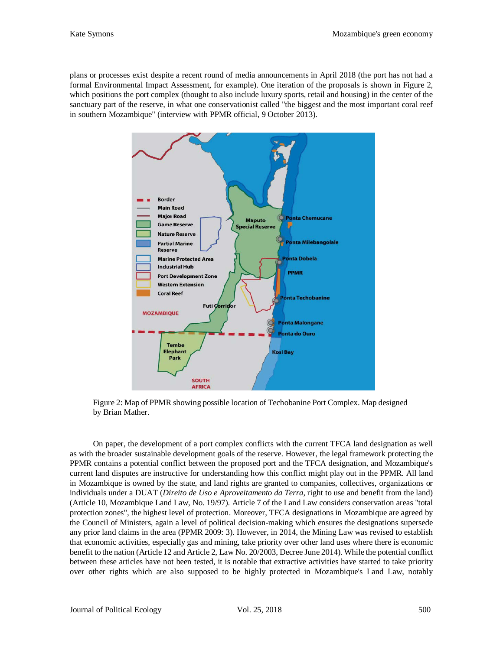plans or processes exist despite a recent round of media announcements in April 2018 (the port has not had a formal Environmental Impact Assessment, for example). One iteration of the proposals is shown in Figure 2, which positions the port complex (thought to also include luxury sports, retail and housing) in the center of the sanctuary part of the reserve, in what one conservationist called "the biggest and the most important coral reef in southern Mozambique" (interview with PPMR official, 9 October 2013).



Figure 2: Map of PPMR showing possible location of Techobanine Port Complex. Map designed by Brian Mather.

On paper, the development of a port complex conflicts with the current TFCA land designation as well as with the broader sustainable development goals of the reserve. However, the legal framework protecting the PPMR contains a potential conflict between the proposed port and the TFCA designation, and Mozambique's current land disputes are instructive for understanding how this conflict might play out in the PPMR. All land in Mozambique is owned by the state, and land rights are granted to companies, collectives, organizations or individuals under a DUAT (*Direito de Uso e Aproveitamento da Terra*, right to use and benefit from the land) (Article 10, Mozambique Land Law, No. 19/97). Article 7 of the Land Law considers conservation areas "total protection zones", the highest level of protection. Moreover, TFCA designations in Mozambique are agreed by the Council of Ministers, again a level of political decision-making which ensures the designations supersede any prior land claims in the area (PPMR 2009: 3). However, in 2014, the Mining Law was revised to establish that economic activities, especially gas and mining, take priority over other land uses where there is economic benefit to the nation (Article 12 and Article 2, Law No. 20/2003, Decree June 2014). While the potential conflict between these articles have not been tested, it is notable that extractive activities have started to take priority over other rights which are also supposed to be highly protected in Mozambique's Land Law, notably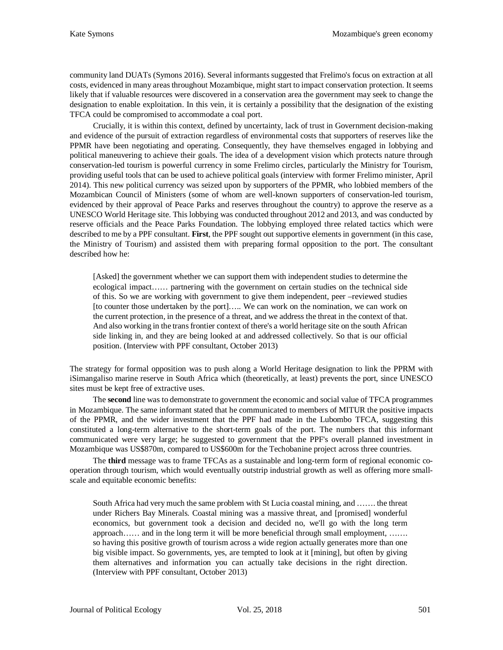community land DUATs (Symons 2016). Several informants suggested that Frelimo's focus on extraction at all costs, evidenced in many areas throughout Mozambique, might start to impact conservation protection. It seems likely that if valuable resources were discovered in a conservation area the government may seek to change the designation to enable exploitation. In this vein, it is certainly a possibility that the designation of the existing TFCA could be compromised to accommodate a coal port.

Crucially, it is within this context, defined by uncertainty, lack of trust in Government decision-making and evidence of the pursuit of extraction regardless of environmental costs that supporters of reserves like the PPMR have been negotiating and operating. Consequently, they have themselves engaged in lobbying and political maneuvering to achieve their goals. The idea of a development vision which protects nature through conservation-led tourism is powerful currency in some Frelimo circles, particularly the Ministry for Tourism, providing useful tools that can be used to achieve political goals (interview with former Frelimo minister, April 2014). This new political currency was seized upon by supporters of the PPMR, who lobbied members of the Mozambican Council of Ministers (some of whom are well-known supporters of conservation-led tourism, evidenced by their approval of Peace Parks and reserves throughout the country) to approve the reserve as a UNESCO World Heritage site. This lobbying was conducted throughout 2012 and 2013, and was conducted by reserve officials and the Peace Parks Foundation. The lobbying employed three related tactics which were described to me by a PPF consultant. **First**, the PPF sought out supportive elements in government (in this case, the Ministry of Tourism) and assisted them with preparing formal opposition to the port. The consultant described how he:

[Asked] the government whether we can support them with independent studies to determine the ecological impact…… partnering with the government on certain studies on the technical side of this. So we are working with government to give them independent, peer –reviewed studies [to counter those undertaken by the port]….. We can work on the nomination, we can work on the current protection, in the presence of a threat, and we address the threat in the context of that. And also working in the trans frontier context of there's a world heritage site on the south African side linking in, and they are being looked at and addressed collectively. So that is our official position. (Interview with PPF consultant, October 2013)

The strategy for formal opposition was to push along a World Heritage designation to link the PPRM with iSimangaliso marine reserve in South Africa which (theoretically, at least) prevents the port, since UNESCO sites must be kept free of extractive uses.

The **second** line was to demonstrate to government the economic and social value of TFCA programmes in Mozambique. The same informant stated that he communicated to members of MITUR the positive impacts of the PPMR, and the wider investment that the PPF had made in the Lubombo TFCA, suggesting this constituted a long-term alternative to the short-term goals of the port. The numbers that this informant communicated were very large; he suggested to government that the PPF's overall planned investment in Mozambique was US\$870m, compared to US\$600m for the Techobanine project across three countries.

The **third** message was to frame TFCAs as a sustainable and long-term form of regional economic cooperation through tourism, which would eventually outstrip industrial growth as well as offering more smallscale and equitable economic benefits:

South Africa had very much the same problem with St Lucia coastal mining, and ……. the threat under Richers Bay Minerals. Coastal mining was a massive threat, and [promised] wonderful economics, but government took a decision and decided no, we'll go with the long term approach…… and in the long term it will be more beneficial through small employment, ……. so having this positive growth of tourism across a wide region actually generates more than one big visible impact. So governments, yes, are tempted to look at it [mining], but often by giving them alternatives and information you can actually take decisions in the right direction. (Interview with PPF consultant, October 2013)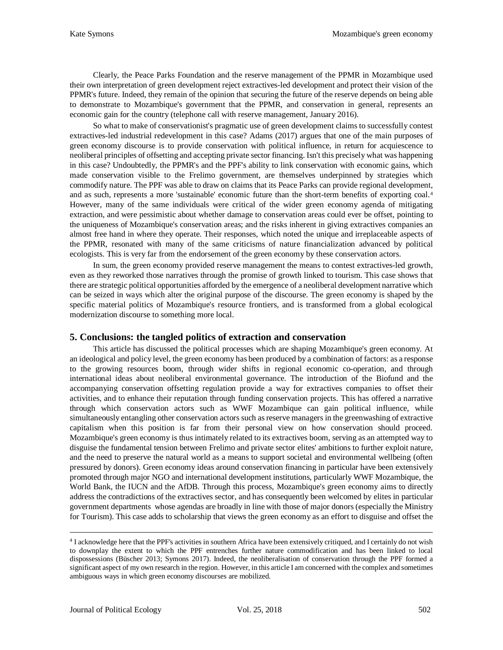Clearly, the Peace Parks Foundation and the reserve management of the PPMR in Mozambique used their own interpretation of green development reject extractives-led development and protect their vision of the PPMR's future. Indeed, they remain of the opinion that securing the future of the reserve depends on being able to demonstrate to Mozambique's government that the PPMR, and conservation in general, represents an economic gain for the country (telephone call with reserve management, January 2016).

So what to make of conservationist's pragmatic use of green development claims to successfully contest extractives-led industrial redevelopment in this case? Adams (2017) argues that one of the main purposes of green economy discourse is to provide conservation with political influence, in return for acquiescence to neoliberal principles of offsetting and accepting private sector financing. Isn't this precisely what was happening in this case? Undoubtedly, the PPMR's and the PPF's ability to link conservation with economic gains, which made conservation visible to the Frelimo government, are themselves underpinned by strategies which commodify nature. The PPF was able to draw on claims that its Peace Parks can provide regional development, and as such, represents a more 'sustainable' economic future than the short-term benefits of exporting coal.[4](#page-14-0) However, many of the same individuals were critical of the wider green economy agenda of mitigating extraction, and were pessimistic about whether damage to conservation areas could ever be offset, pointing to the uniqueness of Mozambique's conservation areas; and the risks inherent in giving extractives companies an almost free hand in where they operate. Their responses, which noted the unique and irreplaceable aspects of the PPMR, resonated with many of the same criticisms of nature financialization advanced by political ecologists. This is very far from the endorsement of the green economy by these conservation actors.

In sum, the green economy provided reserve management the means to contest extractives-led growth, even as they reworked those narratives through the promise of growth linked to tourism. This case shows that there are strategic political opportunities afforded by the emergence of a neoliberal development narrative which can be seized in ways which alter the original purpose of the discourse. The green economy is shaped by the specific material politics of Mozambique's resource frontiers, and is transformed from a global ecological modernization discourse to something more local.

# **5. Conclusions: the tangled politics of extraction and conservation**

This article has discussed the political processes which are shaping Mozambique's green economy. At an ideological and policy level, the green economy has been produced by a combination of factors: as a response to the growing resources boom, through wider shifts in regional economic co-operation, and through international ideas about neoliberal environmental governance. The introduction of the Biofund and the accompanying conservation offsetting regulation provide a way for extractives companies to offset their activities, and to enhance their reputation through funding conservation projects. This has offered a narrative through which conservation actors such as WWF Mozambique can gain political influence, while simultaneously entangling other conservation actors such as reserve managers in the greenwashing of extractive capitalism when this position is far from their personal view on how conservation should proceed. Mozambique's green economy is thus intimately related to its extractives boom, serving as an attempted way to disguise the fundamental tension between Frelimo and private sector elites' ambitions to further exploit nature, and the need to preserve the natural world as a means to support societal and environmental wellbeing (often pressured by donors). Green economy ideas around conservation financing in particular have been extensively promoted through major NGO and international development institutions, particularly WWF Mozambique, the World Bank, the IUCN and the AfDB. Through this process, Mozambique's green economy aims to directly address the contradictions of the extractives sector, and has consequently been welcomed by elites in particular government departments whose agendas are broadly in line with those of major donors (especially the Ministry for Tourism). This case adds to scholarship that views the green economy as an effort to disguise and offset the

<span id="page-14-0"></span> <sup>4</sup> I acknowledge here that the PPF's activities in southern Africa have been extensively critiqued, and I certainly do not wish to downplay the extent to which the PPF entrenches further nature commodification and has been linked to local dispossessions (Büscher 2013; Symons 2017). Indeed, the neoliberalisation of conservation through the PPF formed a significant aspect of my own research in the region. However, in this article I am concerned with the complex and sometimes ambiguous ways in which green economy discourses are mobilized.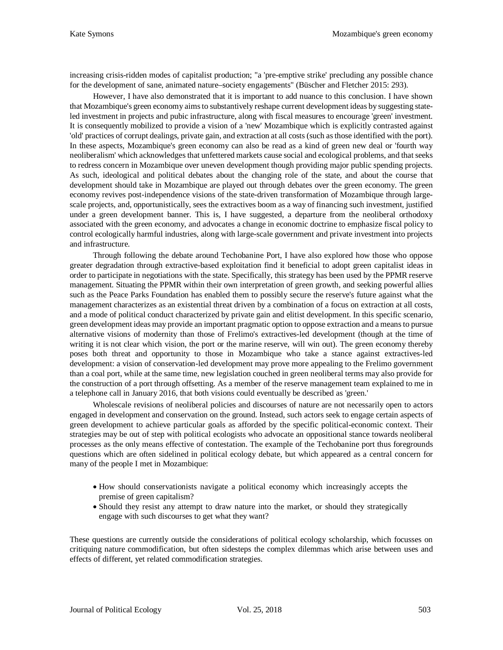increasing crisis-ridden modes of capitalist production; "a 'pre-emptive strike' precluding any possible chance for the development of sane, animated nature–society engagements" (Büscher and Fletcher 2015: 293).

However, I have also demonstrated that it is important to add nuance to this conclusion. I have shown that Mozambique's green economy aims to substantively reshape current development ideas by suggesting stateled investment in projects and pubic infrastructure, along with fiscal measures to encourage 'green' investment. It is consequently mobilized to provide a vision of a 'new' Mozambique which is explicitly contrasted against 'old' practices of corrupt dealings, private gain, and extraction at all costs (such as those identified with the port). In these aspects, Mozambique's green economy can also be read as a kind of green new deal or 'fourth way neoliberalism' which acknowledges that unfettered markets cause social and ecological problems, and that seeks to redress concern in Mozambique over uneven development though providing major public spending projects. As such, ideological and political debates about the changing role of the state, and about the course that development should take in Mozambique are played out through debates over the green economy. The green economy revives post-independence visions of the state-driven transformation of Mozambique through largescale projects, and, opportunistically, sees the extractives boom as a way of financing such investment, justified under a green development banner. This is, I have suggested, a departure from the neoliberal orthodoxy associated with the green economy, and advocates a change in economic doctrine to emphasize fiscal policy to control ecologically harmful industries, along with large-scale government and private investment into projects and infrastructure.

Through following the debate around Techobanine Port, I have also explored how those who oppose greater degradation through extractive-based exploitation find it beneficial to adopt green capitalist ideas in order to participate in negotiations with the state. Specifically, this strategy has been used by the PPMR reserve management. Situating the PPMR within their own interpretation of green growth, and seeking powerful allies such as the Peace Parks Foundation has enabled them to possibly secure the reserve's future against what the management characterizes as an existential threat driven by a combination of a focus on extraction at all costs, and a mode of political conduct characterized by private gain and elitist development. In this specific scenario, green development ideas may provide an important pragmatic option to oppose extraction and a means to pursue alternative visions of modernity than those of Frelimo's extractives-led development (though at the time of writing it is not clear which vision, the port or the marine reserve, will win out). The green economy thereby poses both threat and opportunity to those in Mozambique who take a stance against extractives-led development: a vision of conservation-led development may prove more appealing to the Frelimo government than a coal port, while at the same time, new legislation couched in green neoliberal terms may also provide for the construction of a port through offsetting. As a member of the reserve management team explained to me in a telephone call in January 2016, that both visions could eventually be described as 'green.'

Wholescale revisions of neoliberal policies and discourses of nature are not necessarily open to actors engaged in development and conservation on the ground. Instead, such actors seek to engage certain aspects of green development to achieve particular goals as afforded by the specific political-economic context. Their strategies may be out of step with political ecologists who advocate an oppositional stance towards neoliberal processes as the only means effective of contestation. The example of the Techobanine port thus foregrounds questions which are often sidelined in political ecology debate, but which appeared as a central concern for many of the people I met in Mozambique:

- How should conservationists navigate a political economy which increasingly accepts the premise of green capitalism?
- Should they resist any attempt to draw nature into the market, or should they strategically engage with such discourses to get what they want?

These questions are currently outside the considerations of political ecology scholarship, which focusses on critiquing nature commodification, but often sidesteps the complex dilemmas which arise between uses and effects of different, yet related commodification strategies.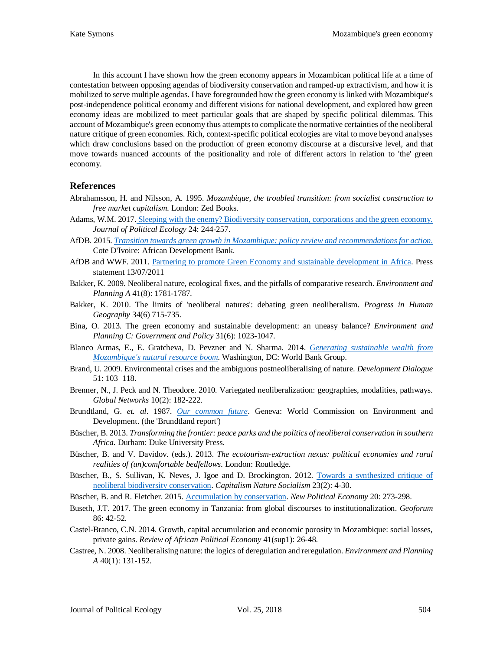In this account I have shown how the green economy appears in Mozambican political life at a time of contestation between opposing agendas of biodiversity conservation and ramped-up extractivism, and how it is mobilized to serve multiple agendas. I have foregrounded how the green economy is linked with Mozambique's post-independence political economy and different visions for national development, and explored how green economy ideas are mobilized to meet particular goals that are shaped by specific political dilemmas. This account of Mozambique's green economy thus attempts to complicate the normative certainties of the neoliberal nature critique of green economies. Rich, context-specific political ecologies are vital to move beyond analyses which draw conclusions based on the production of green economy discourse at a discursive level, and that move towards nuanced accounts of the positionality and role of different actors in relation to 'the' green economy.

### **References**

- Abrahamsson, H. and Nilsson, A. 1995. *Mozambique, the troubled transition: from socialist construction to free market capitalism*. London: Zed Books.
- Adams, W.M. 2017. [Sleeping with the enemy? Biodiversity conservation, corporations and the green economy.](http://dx.doi.org/10.2458/v24i1.20804) *Journal of Political Ecology* 24: 244-257.
- AfDB. 2015. *[Transition towards green growth in Mozambique: policy review and recommendations for action](http://www.afdb.org/fileadmin/uploads/afdb/Documents/Generic-Documents/Transition_Towards_Green_Growth_in_Mozambique_-_Policy_Review_and_Recommendations_for_Action.pdf)*. Cote D'Ivoire: African Development Bank.
- AfDB and WWF. 2011. Partnering to promote [Green Economy and sustainable development in Africa.](http://www.afdb.org/en/news-and-events/article/afdb-and-wwf-partnering-to-promote-green-economy-and-sustainable-development-in-africa-8273/) Press statement 13/07/2011
- Bakker, K. 2009. Neoliberal nature, ecological fixes, and the pitfalls of comparative research. *Environment and Planning A* 41(8): 1781-1787.
- Bakker, K. 2010. The limits of 'neoliberal natures': debating green neoliberalism. *Progress in Human Geography* 34(6) 715-735.
- Bina, O. 2013. The green economy and sustainable development: an uneasy balance? *Environment and Planning C: Government and Policy* 31(6): 1023-1047.
- Blanco Armas, E., E. Gratcheva, D. Pevzner and N. Sharma. 2014. *[Generating sustainable wealth from](http://documents.worldbank.org/curated/en/2014/01/19263605/generating-sustainable-wealth-mozambiques-natural-resource-boom)  [Mozambique's natural resource boom](http://documents.worldbank.org/curated/en/2014/01/19263605/generating-sustainable-wealth-mozambiques-natural-resource-boom)*. Washington, DC: World Bank Group.
- Brand, U. 2009. Environmental crises and the ambiguous postneoliberalising of nature. *Development Dialogue* 51: 103–118.
- Brenner, N., J. Peck and N. Theodore. 2010. Variegated neoliberalization: geographies, modalities, pathways. *Global Networks* 10(2): 182-222.
- Brundtland, G. *et. al*. 1987. *[Our common future](http://www.un-documents.net/our-common-future.pdf)*. Geneva: World Commission on Environment and Development. (the 'Brundtland report')
- Büscher, B. 2013. *Transforming the frontier: peace parks and the politics of neoliberal conservation in southern Africa.* Durham: Duke University Press.
- Büscher, B. and V. Davidov. (eds.). 2013. *The ecotourism-extraction nexus: political economies and rural realities of (un)comfortable bedfellows*. London: Routledge.
- Büscher, B., S. Sullivan, K. Neves, J. Igoe and D. Brockington. 2012. [Towards a synthesized critique of](https://brambuscher.files.wordpress.com/2011/01/bc3bcscher-et-al-synthesized-critique-cns-final.pdf)  [neoliberal biodiversity conservation.](https://brambuscher.files.wordpress.com/2011/01/bc3bcscher-et-al-synthesized-critique-cns-final.pdf) *Capitalism Nature Socialism* 23(2): 4-30.
- Büscher, B. and R. Fletcher. 2015. [Accumulation by conservation.](https://brambuscher.files.wordpress.com/2011/01/bucc88scherfletcher-accumulation-by-conservation-npe-2014.pdf) *New Political Economy* 20: 273-298.
- Buseth, J.T. 2017. The green economy in Tanzania: from global discourses to institutionalization. *Geoforum* 86: 42-52.
- Castel-Branco, C.N. 2014. Growth, capital accumulation and economic porosity in Mozambique: social losses, private gains. *Review of African Political Economy* 41(sup1): 26-48.
- Castree, N. 2008. Neoliberalising nature: the logics of deregulation and reregulation. *Environment and Planning A* 40(1): 131-152.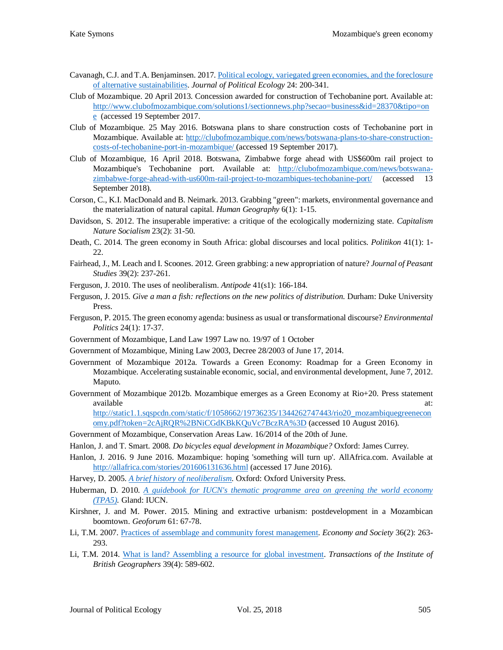- Cavanagh, C.J. and T.A. Benjaminsen. 2017. [Political ecology, variegated green economies, and the foreclosure](https://journals.uair.arizona.edu/index.php/JPE/article/view/20800)  [of alternative sustainabilities.](https://journals.uair.arizona.edu/index.php/JPE/article/view/20800) *Journal of Political Ecology* 24: 200-341.
- Club of Mozambique. 20 April 2013. Concession awarded for construction of Techobanine port. Available at: [http://www.clubofmozambique.com/solutions1/sectionnews.php?secao=business&id=28370&tipo=on](http://www.clubofmozambique.com/solutions1/sectionnews.php?secao=business&id=28370&tipo=one) [e](http://www.clubofmozambique.com/solutions1/sectionnews.php?secao=business&id=28370&tipo=one) (accessed 19 September 2017.
- Club of Mozambique. 25 May 2016. Botswana plans to share construction costs of Techobanine port in Mozambique. Available at: [http://clubofmozambique.com/news/botswana-plans-to-share-construction](http://clubofmozambique.com/news/botswana-plans-to-share-construction-costs-of-techobanine-port-in-mozambique/)[costs-of-techobanine-port-in-mozambique/](http://clubofmozambique.com/news/botswana-plans-to-share-construction-costs-of-techobanine-port-in-mozambique/) (accessed 19 September 2017).
- Club of Mozambique, 16 April 2018. Botswana, Zimbabwe forge ahead with US\$600m rail project to Mozambique's Techobanine port. Available at: [http://clubofmozambique.com/news/botswana](http://clubofmozambique.com/news/botswana-zimbabwe-forge-ahead-with-us600m-rail-project-to-mozambiques-techobanine-port/)[zimbabwe-forge-ahead-with-us600m-rail-project-to-mozambiques-techobanine-port/](http://clubofmozambique.com/news/botswana-zimbabwe-forge-ahead-with-us600m-rail-project-to-mozambiques-techobanine-port/) (accessed 13 September 2018).
- Corson, C., K.I. MacDonald and B. Neimark. 2013. Grabbing "green": markets, environmental governance and the materialization of natural capital. *Human Geography* 6(1): 1-15.
- Davidson, S. 2012. The insuperable imperative: a critique of the ecologically modernizing state. *Capitalism Nature Socialism* 23(2): 31-50.
- Death, C. 2014. The green economy in South Africa: global discourses and local politics. *Politikon* 41(1): 1- 22.
- Fairhead, J., M. Leach and I. Scoones. 2012. Green grabbing: a new appropriation of nature? *Journal of Peasant Studies* 39(2): 237-261.
- Ferguson, J. 2010. The uses of neoliberalism. *Antipode* 41(s1): 166-184.
- Ferguson, J. 2015. *Give a man a fish: reflections on the new politics of distribution*. Durham: Duke University Press.
- Ferguson, P. 2015. The green economy agenda: business as usual or transformational discourse? *Environmental Politics* 24(1): 17-37.
- Government of Mozambique, Land Law 1997 Law no. 19/97 of 1 October
- Government of Mozambique, Mining Law 2003, Decree 28/2003 of June 17, 2014.
- Government of Mozambique 2012a. Towards a Green Economy: Roadmap for a Green Economy in Mozambique. Accelerating sustainable economic, social, and environmental development, June 7, 2012. Maputo.
- Government of Mozambique 2012b. Mozambique emerges as a Green Economy at Rio+20. Press statement available at: and a state at a state at a state at a state at a state at a state at a state at a state at a st

[http://static1.1.sqspcdn.com/static/f/1058662/19736235/1344262747443/rio20\\_mozambiquegreenecon](http://static1.1.sqspcdn.com/static/f/1058662/19736235/1344262747443/rio20_mozambiquegreeneconomy.pdf?token=2cAjRQR%2BNiCGdKBkKQuVc7BczRA%3D) [omy.pdf?token=2cAjRQR%2BNiCGdKBkKQuVc7BczRA%3D](http://static1.1.sqspcdn.com/static/f/1058662/19736235/1344262747443/rio20_mozambiquegreeneconomy.pdf?token=2cAjRQR%2BNiCGdKBkKQuVc7BczRA%3D) (accessed 10 August 2016).

Government of Mozambique, Conservation Areas Law. 16/2014 of the 20th of June.

- Hanlon, J. and T. Smart. 2008. *Do bicycles equal development in Mozambique?* Oxford: James Currey.
- Hanlon, J. 2016. 9 June 2016. Mozambique: hoping 'something will turn up'. AllAfrica.com. Available at <http://allafrica.com/stories/201606131636.html> (accessed 17 June 2016).
- Harvey, D. 2005. *[A brief history of neoliberalism.](http://www.cmecc.com/uploads/%E8%AF%BE%E6%9C%AC%E5%92%8C%E8%AE%BA%E6%96%87/%5B9%5D%5B%E5%A4%A7%E5%8D%AB%E5%93%88%E7%BB%B4%5D.David.Harvey.(2005).A.Brief.History.of.Neoliberalism.pdf)* Oxford: Oxford University Press.
- Huberman, D. 2010. *[A guidebook for IUCN's thematic programme area on greening the world economy](https://cmsdata.iucn.org/downloads/green_economy_guidebook_august_2010_1.pdf)  [\(TPA5\).](https://cmsdata.iucn.org/downloads/green_economy_guidebook_august_2010_1.pdf)* Gland: IUCN.
- Kirshner, J. and M. Power. 2015. Mining and extractive urbanism: postdevelopment in a Mozambican boomtown. *Geoforum* 61: 67-78.
- Li, T.M. 2007. [Practices of assemblage and community forest management.](https://tspace.library.utoronto.ca/bitstream/1807/67586/1/practices-of-assemblage.pdf) *Economy and Society* 36(2): 263- 293.
- Li, T.M. 2014. [What is land? Assembling a resource for global investment.](https://tspace.library.utoronto.ca/bitstream/1807/67829/1/what-is-land.pdf) *Transactions of the Institute of British Geographers* 39(4): 589-602.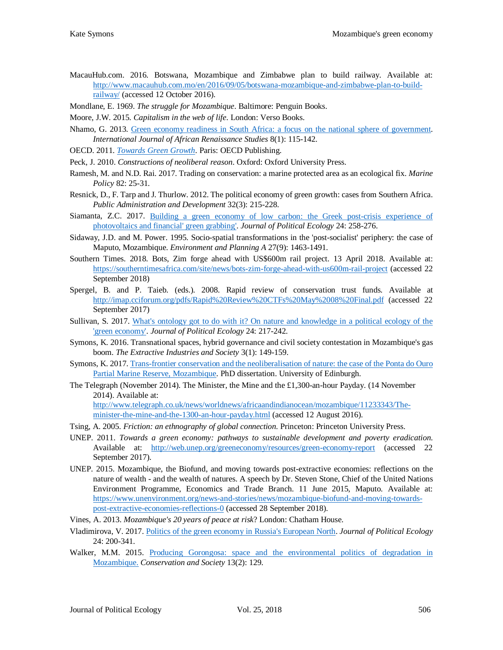- MacauHub.com. 2016. Botswana, Mozambique and Zimbabwe plan to build railway. Available at: [http://www.macauhub.com.mo/en/2016/09/05/botswana-mozambique-and-zimbabwe-plan-to-build](http://www.macauhub.com.mo/en/2016/09/05/botswana-mozambique-and-zimbabwe-plan-to-build-railway/)[railway/](http://www.macauhub.com.mo/en/2016/09/05/botswana-mozambique-and-zimbabwe-plan-to-build-railway/) (accessed 12 October 2016).
- Mondlane, E. 1969. *The struggle for Mozambique*. Baltimore: Penguin Books.
- Moore, J.W. 2015. *Capitalism in the web of life*. London: Verso Books.
- Nhamo, G. 2013. [Green economy readiness in South Africa: a](http://uir.unisa.ac.za/bitstream/handle/10500/18516/Green%20economy%20readiness%20in%20South%20Africa.%20A%20Focus%20on%20the%20national%20sphere%20of%20government.pdf?sequence=3&isAllowed=y) focus on the national sphere of government. *International Journal of African Renaissance Studies* 8(1): 115-142.
- OECD. 2011. *[Towards Green Growth](http://www.oecd.org/env/towards-green-growth-9789264111318-en.htm)*. Paris: OECD Publishing.
- Peck, J. 2010. *Constructions of neoliberal reason*. Oxford: Oxford University Press.
- Ramesh, M. and N.D. Rai. 2017. Trading on conservation: a marine protected area as an ecological fix. *Marine Policy* 82: 25-31.
- Resnick, D., F. Tarp and J. Thurlow. 2012. The political economy of green growth: cases from Southern Africa. *Public Administration and Development* 32(3): 215-228.
- Siamanta, Z.C. 2017. [Building a green economy of low carbon: the Greek post-crisis experience of](http://dx.doi.org/10.2458/v24i1.20806)  [photovoltaics and financial'](http://dx.doi.org/10.2458/v24i1.20806) green grabbing'. *Journal of Political Ecology* 24: 258-276.
- Sidaway, J.D. and M. Power. 1995. Socio-spatial transformations in the 'post-socialist' periphery: the case of Maputo, Mozambique. *Environment and Planning A* 27(9): 1463-1491.
- Southern Times. 2018. Bots, Zim forge ahead with US\$600m rail project. 13 April 2018. Available at: <https://southerntimesafrica.com/site/news/bots-zim-forge-ahead-with-us600m-rail-project> (accessed 22 September 2018)
- Spergel, B. and P. Taieb. (eds.). 2008. Rapid review of conservation trust funds. Available at <http://imap.cciforum.org/pdfs/Rapid%20Review%20CTFs%20May%2008%20Final.pdf> (accessed 22 September 2017)
- Sullivan, S. 2017. [What's ontology got to do with it? On nature and knowledge in a political ecology of](http://dx.doi.org/10.2458/v24i1.20802) the ['green economy'.](http://dx.doi.org/10.2458/v24i1.20802) *Journal of Political Ecology* 24: 217-242.
- Symons, K. 2016. Transnational spaces, hybrid governance and civil society contestation in Mozambique's gas boom. *The Extractive Industries and Society* 3(1): 149-159.
- Symons, K. 2017[. Trans-frontier conservation and the neoliberalisation of nature: the case of the Ponta do Ouro](https://www.era.lib.ed.ac.uk/handle/1842/29579)  [Partial Marine Reserve, Mozambique.](https://www.era.lib.ed.ac.uk/handle/1842/29579) PhD dissertation. University of Edinburgh.
- The Telegraph (November 2014). The Minister, the Mine and the £1,300-an-hour Payday. (14 November 2014). Available at:

[http://www.telegraph.co.uk/news/worldnews/africaandindianocean/mozambique/11233343/The](http://www.telegraph.co.uk/news/worldnews/africaandindianocean/mozambique/11233343/The-minister-the-mine-and-the-1300-an-hour-payday.html)[minister-the-mine-and-the-1300-an-hour-payday.html](http://www.telegraph.co.uk/news/worldnews/africaandindianocean/mozambique/11233343/The-minister-the-mine-and-the-1300-an-hour-payday.html) (accessed 12 August 2016).

- Tsing, A. 2005. *Friction: an ethnography of global connection.* Princeton: Princeton University Press.
- UNEP. 2011. *Towards a green economy: pathways to sustainable development and poverty eradication*. Available at: <http://web.unep.org/greeneconomy/resources/green-economy-report> (accessed 22 September 2017).
- UNEP. 2015. Mozambique, the Biofund, and moving towards post-extractive economies: reflections on the nature of wealth - and the wealth of natures. A speech by Dr. Steven Stone, Chief of the United Nations Environment Programme, Economics and Trade Branch. 11 June 2015, Maputo. Available at: [https://www.unenvironment.org/news-and-stories/news/mozambique-biofund-and-moving-towards](https://www.unenvironment.org/news-and-stories/news/mozambique-biofund-and-moving-towards-post-extractive-economies-reflections-0)[post-extractive-economies-reflections-0](https://www.unenvironment.org/news-and-stories/news/mozambique-biofund-and-moving-towards-post-extractive-economies-reflections-0) (accessed 28 September 2018).
- Vines, A. 2013. *Mozambique's 20 years of peace at risk*? London: Chatham House.
- Vladimirova, V. 2017[. Politics of the green economy in Russia's European North.](http://dx.doi.org/10.2458/v24i1.20810) *Journal of Political Ecology* 24: 200-341.
- Walker, M.M. 2015. Producing Gorongosa: space and the environmental politics of degradation in [Mozambique.](http://www.conservationandsociety.org/article.asp?issn=0972-4923;year=2015;volume=13;issue=2;spage=129;epage=140;aulast=Walker) *Conservation and Society* 13(2): 129.